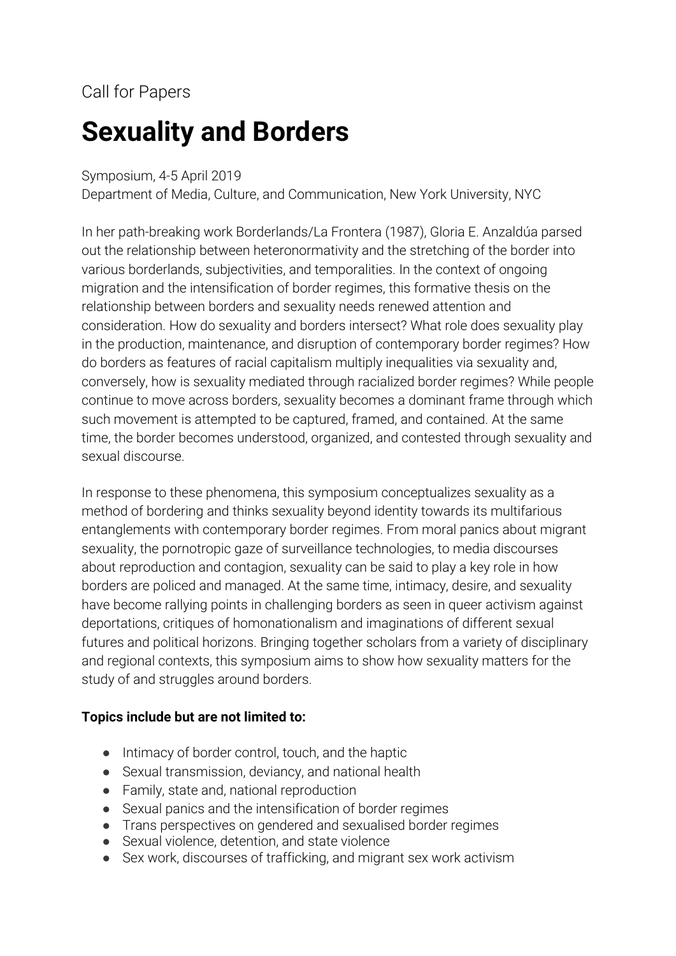# Call for Papers

# **Sexuality and Borders**

#### Symposium, 4-5 April 2019

Department of Media, Culture, and Communication, New York University, NYC

In her path-breaking work Borderlands/La Frontera (1987), Gloria E. Anzaldúa parsed out the relationship between heteronormativity and the stretching of the border into various borderlands, subjectivities, and temporalities. In the context of ongoing migration and the intensification of border regimes, this formative thesis on the relationship between borders and sexuality needs renewed attention and consideration. How do sexuality and borders intersect? What role does sexuality play in the production, maintenance, and disruption of contemporary border regimes? How do borders as features of racial capitalism multiply inequalities via sexuality and, conversely, how is sexuality mediated through racialized border regimes? While people continue to move across borders, sexuality becomes a dominant frame through which such movement is attempted to be captured, framed, and contained. At the same time, the border becomes understood, organized, and contested through sexuality and sexual discourse.

In response to these phenomena, this symposium conceptualizes sexuality as a method of bordering and thinks sexuality beyond identity towards its multifarious entanglements with contemporary border regimes. From moral panics about migrant sexuality, the pornotropic gaze of surveillance technologies, to media discourses about reproduction and contagion, sexuality can be said to play a key role in how borders are policed and managed. At the same time, intimacy, desire, and sexuality have become rallying points in challenging borders as seen in queer activism against deportations, critiques of homonationalism and imaginations of different sexual futures and political horizons. Bringing together scholars from a variety of disciplinary and regional contexts, this symposium aims to show how sexuality matters for the study of and struggles around borders.

#### **Topics include but are not limited to:**

- Intimacy of border control, touch, and the haptic
- Sexual transmission, deviancy, and national health
- Family, state and, national reproduction
- Sexual panics and the intensification of border regimes
- Trans perspectives on gendered and sexualised border regimes
- Sexual violence, detention, and state violence
- Sex work, discourses of trafficking, and migrant sex work activism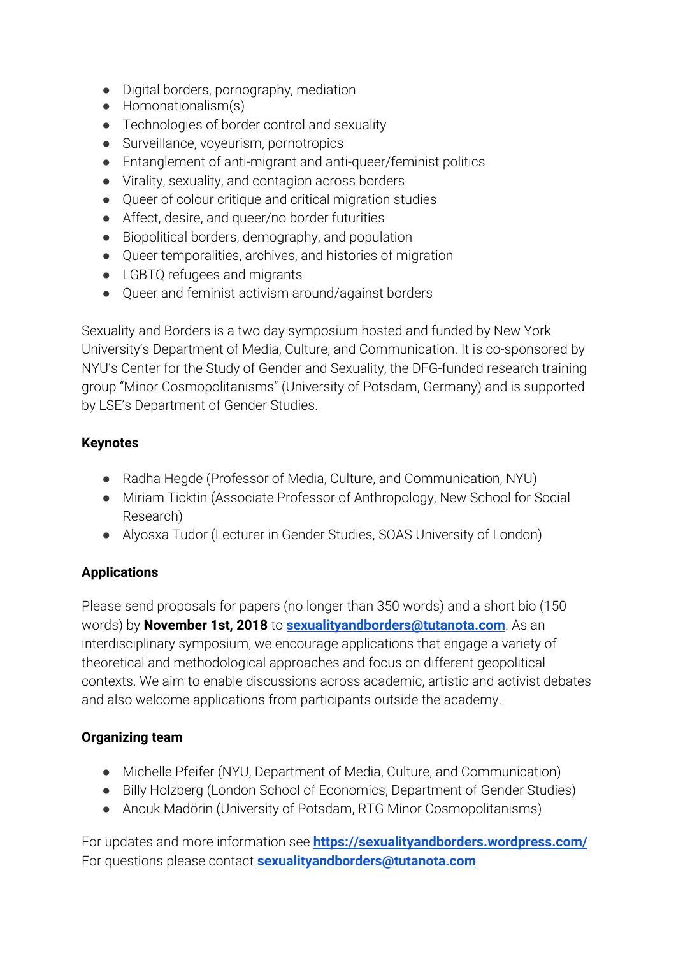- Digital borders, pornography, mediation
- Homonationalism(s)
- Technologies of border control and sexuality
- Surveillance, voyeurism, pornotropics
- Entanglement of anti-migrant and anti-queer/feminist politics
- Virality, sexuality, and contagion across borders
- Queer of colour critique and critical migration studies
- Affect, desire, and queer/no border futurities
- Biopolitical borders, demography, and population
- Queer temporalities, archives, and histories of migration
- LGBTQ refugees and migrants
- Queer and feminist activism around/against borders

Sexuality and Borders is a two day symposium hosted and funded by New York University's Department of Media, Culture, and Communication. It is co-sponsored by NYU's Center for the Study of Gender and Sexuality, the DFG-funded research training group "Minor Cosmopolitanisms" (University of Potsdam, Germany) and is supported by LSE's Department of Gender Studies.

# **Keynotes**

- Radha Hegde (Professor of Media, Culture, and Communication, NYU)
- Miriam Ticktin (Associate Professor of Anthropology, New School for Social Research)
- Alyosxa Tudor (Lecturer in Gender Studies, SOAS University of London)

# **Applications**

Please send proposals for papers (no longer than 350 words) and a short bio (150 words) by **November 1st, 2018** to **[sexualityandborders@tutanota.com](mailto:sexualityandborders@tutanota.com)**. As an interdisciplinary symposium, we encourage applications that engage a variety of theoretical and methodological approaches and focus on different geopolitical contexts. We aim to enable discussions across academic, artistic and activist debates and also welcome applications from participants outside the academy.

# **Organizing team**

- Michelle Pfeifer (NYU, Department of Media, Culture, and Communication)
- Billy Holzberg (London School of Economics, Department of Gender Studies)
- Anouk Madörin (University of Potsdam, RTG Minor Cosmopolitanisms)

For updates and more information see **<https://sexualityandborders.wordpress.com/>** For questions please contact **[sexualityandborders@tutanota.com](mailto:sexualityandborders@tutanota.com)**